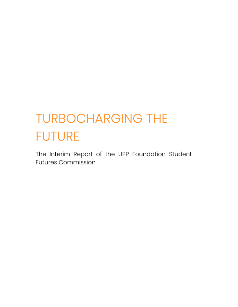# **TURBOCHARGING THE FUTURE**

The Interim Report of the UPP Foundation Student **Futures Commission**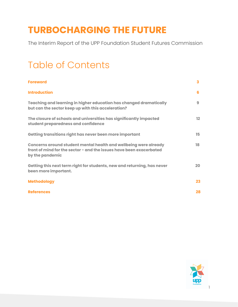## **TURBOCHARGING THE FUTURE**

The Interim Report of the UPP Foundation Student Futures Commission

## Table of Contents

| <b>Foreword</b>                                                                                                                                            | $\overline{\mathbf{3}}$ |
|------------------------------------------------------------------------------------------------------------------------------------------------------------|-------------------------|
| <b>Introduction</b>                                                                                                                                        | 6                       |
| Teaching and learning in higher education has changed dramatically<br>but can the sector keep up with this acceleration?                                   | 9                       |
| The closure of schools and universities has significantly impacted<br>student preparedness and confidence                                                  | $12 \overline{ }$       |
| Getting transitions right has never been more important                                                                                                    | 15                      |
| Concerns around student mental health and wellbeing were already<br>front of mind for the sector - and the issues have been exacerbated<br>by the pandemic | 18                      |
| Getting this next term right for students, new and returning, has never<br>been more important.                                                            | 20                      |
| <b>Methodology</b>                                                                                                                                         | 23                      |
| <b>References</b>                                                                                                                                          | 28                      |

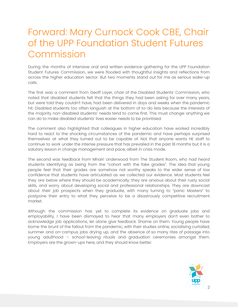## Forward: Mary Curnock Cook CBE, Chair of the UPP Foundation Student Futures Commission

During the months of intensive oral and written evidence-gathering for the UPP Foundation Student Futures Commission, we were flooded with thoughtful insights and reflections from across the higher education sector. But two moments stand out for me as serious wake-up calls.

The first was a comment from Geoff Layer, chair of the Disabled Students' Commission, who noted that disabled students felt that the things they had been asking for over many years, but were told they couldn't have, had been delivered in days and weeks when the pandemic hit. Disabled students too often languish at the bottom of to-do lists because the interests of the majority non-disabled students' needs tend to come first. This must change: anything we can do to make disabled students' lives easier needs to be prioritised.

The comment also highlighted that colleagues in higher education have worked incredibly hard to react to the shocking circumstances of the pandemic and have perhaps surprised themselves at what they turned out to be capable of. Not that anyone wants HE staff to continue to work under the intense pressure that has prevailed in the past 18 months but it is a salutary lesson in change management and pace, albeit in crisis mode.

The second was feedback from Mhairi Underwood from The Student Room, who had heard students identifying as being from the "cohort with the fake grades". The idea that young people feel that their grades are somehow not worthy speaks to the wider sense of low confidence that students have articulated as we collected our evidence. Most students feel they are below where they should be academically; they are anxious about their rusty social skills, and worry about developing social and professional relationships. They are downcast about their job prospects when they graduate, with many turning to "panic Masters" to postpone their entry to what they perceive to be a disastrously competitive recruitment market.

Although the commission has yet to complete its evidence on graduate jobs and employability, I have been dismayed to hear that many employers don't even bother to acknowledge job applications, let alone give feedback. Shame on them. Young people have borne the brunt of the fallout from the pandemic, with their studies online, socialising curtailed, summer and on-campus jobs drying up, and the absence of so many rites of passage into young adulthood – school-leaving rituals and graduation ceremonies amongst them. Employers are the grown-ups here, and they should know better.

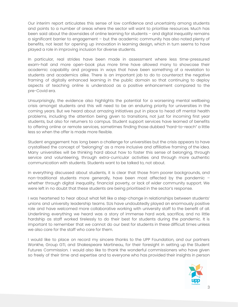Our interim report articulates this sense of low confidence and uncertainty among students and points to a number of areas where the sector will want to prioritise resources. Much has been said about the downsides of online learning for students – and digital inequality remains a significant barrier to engagement – but the academic community has also noted plenty of benefits, not least for opening up innovation in learning design, which in turn seems to have played a role in improving inclusion for diverse students.

In particular, real strides have been made in assessment where less time-pressured exam-hall and more open-book plus more time have allowed many to showcase their academic capability and progress in ways that have been something of a revelation to students and academics alike. There is an important job to do to counteract the negative framing of digitally enhanced learning in the public domain so that continuing to deploy aspects of teaching online is understood as a positive enhancement compared to the pre-Covid era.

Unsurprisingly, the evidence also highlights the potential for a worsening mental wellbeing crisis amongst students and this will need to be an enduring priority for universities in the coming years. But we heard about amazing initiatives put in place to head off mental health problems, including the attention being given to transitions, not just for incoming first year students, but also for returners to campus. Student support services have learned of benefits to offering online or remote services, sometimes finding those dubbed "hard-to-reach" a little less so when the offer is made more flexible.

Student engagement has long been a challenge for universities but the crisis appears to have crystallised the concept of "belonging" as a more inclusive and affiliative framing of the idea. Many universities will be thinking hard about how to foster this sense of belonging, through service and volunteering, through extra-curricular activities and through more authentic communication with students. Students want to be talked to, not about.

In everything discussed about students, it is clear that those from poorer backgrounds, and non-traditional students more generally, have been most affected by the pandemic – whether through digital inequality, financial poverty, or lack of wider community support. We were left in no doubt that these students are being prioritised in the sector's response.

I was heartened to hear about what felt like a step-change in relationships between students' unions and university leadership teams. SUs have undoubtedly played an enormously positive role and have welcomed more collaborative working with university staff to the benefit of all. Underlining everything we heard was a story of immense hard work, sacrifice, and no little hardship as staff worked tirelessly to do their best for students during the pandemic. It is important to remember that we cannot do our best for students in these difficult times unless we also care for the staff who care for them.

I would like to place on record my sincere thanks to the UPP Foundation, and our partners Wonkhe, Group GTI, and Shakespeare Martineau, for their foresight in setting up the Student Futures Commission. I would also like to thank the wonderful commissioners who have given so freely of their time and expertise and to everyone who has provided their insights in person

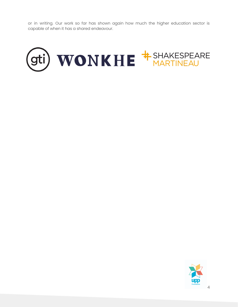or in writing. Our work so far has shown again how much the higher education sector is capable of when it has a shared endeavour.



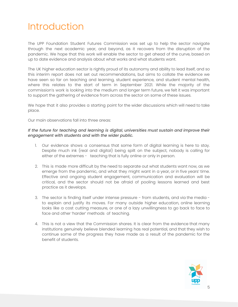## Introduction

The UPP Foundation Student Futures Commission was set up to help the sector navigate through the next academic year, and beyond, as it recovers from the disruption of the pandemic. We hope that this work will enable the sector to get ahead of the curve, based on up to date evidence and analysis about what works and what students want.

The UK higher education sector is rightly proud of its autonomy and ability to lead itself, and so this interim report does not set out recommendations, but aims to collate the evidence we have seen so far on teaching and learning, student experience, and student mental health, where this relates to the start of term in September 2021. While the majority of the commission's work is looking into the medium and longer term future, we felt it was important to support the gathering of evidence from across the sector on some of these issues.

We hope that it also provides a starting point for the wider discussions which will need to take place.

Our main observations fall into three areas:

### *If the future for teaching and learning is digital, universities must sustain and improve their engagement with students and with the wider public.*

- 1. Our evidence shows a consensus that some form of digital learning is here to stay. Despite much ink (real and digital) being spilt on the subject, nobody is calling for either of the extremes - teaching that is fully online or only in person.
- 2. This is made more difficult by the need to separate out what students want now, as we emerge from the pandemic, and what they might want in a year, or in five years' time. Effective and ongoing student engagement, communication and evaluation will be critical, and the sector should not be afraid of pooling lessons learned and best practice as it develops.
- 3. The sector is finding itself under intense pressure from students, and via the media to explain and justify its moves. For many outside higher education, online learning looks like a cost cutting measure, or one of a lazy unwillingness to go back to face to face and other 'harder' methods of teaching.
- 4. This is not a view that the Commission shares. It is clear from the evidence that many institutions genuinely believe blended learning has real potential, and that they wish to continue some of the progress they have made as a result of the pandemic for the benefit of students.

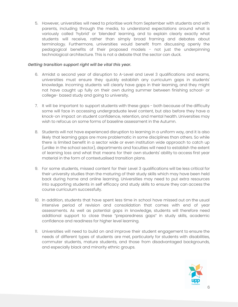5. However, universities will need to prioritise work from September with students and with parents, including through the media, to understand expectations around what is variously called 'hybrid' or 'blended' learning, and to explain clearly exactly what students will receive, rather than simply broad framing and debates about terminology. Furthermore, universities would benefit from discussing openly the pedagogical benefits of their proposed models - not just the underpinning technological architecture. This is not a debate that the sector can duck.

#### *Getting transition support right will be vital this year.*

- 6. Amidst a second year of disruption to A-Level and Level 3 qualifications and exams, universities must ensure they quickly establish any curriculum gaps in students' knowledge. Incoming students will clearly have gaps in their learning, and they might not have caught up fully on their own during summer between finishing school- or college- based study and going to university.
- 7. It will be important to support students with these gaps both because of the difficulty some will face in accessing undergraduate level content, but also before they have a knock-on impact on student confidence, retention, and mental health. Universities may wish to refocus on some forms of baseline assessment in the Autumn.
- 8. Students will not have experienced disruption to learning in a uniform way, and it is also likely that learning gaps are more problematic in some disciplines than others. So while there is limited benefit in a sector wide or even institution wide approach to catch up (unlike in the school sector), departments and faculties will need to establish the extent of learning loss and what that means for their own students' ability to access first year material in the form of contextualised transition plans.
- 9. For some students, missed content for their Level 3 qualifications will be less critical for their university studies than the maturing of their study skills which may have been held back during home and online learning. Universities may need to put extra resources into supporting students in self efficacy and study skills to ensure they can access the course curriculum successfully.
- 10. In addition, students that have spent less time in school have missed out on the usual intensive period of revision and consolidation that comes with end of year assessments. As well as potential gaps in knowledge, students will therefore need additional support to close these "preparedness gaps" in study skills, academic confidence and readiness for higher level learning.
- 11. Universities will need to build on and improve their student engagement to ensure the needs of different types of students are met, particularly for students with disabilities, commuter students, mature students, and those from disadvantaged backgrounds, and especially black and minority ethnic groups.

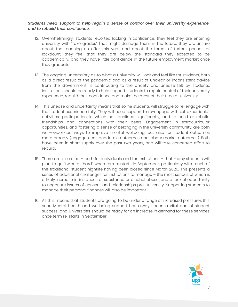### *Students need support to help regain a sense of control over their university experience, and to rebuild their confidence.*

- 12. Overwhelmingly, students reported lacking in confidence; they feel they are entering university with "fake grades" that might damage them in the future; they are unsure about the teaching on offer this year and about the threat of further periods of lockdown; they feel that they are below the standard they expected to be academically; and they have little confidence in the future employment market once they graduate.
- 13. The ongoing uncertainty as to what a university will look and feel like for students, both as a direct result of the pandemic and as a result of unclear or inconsistent advice from the Government, is contributing to the anxiety and unease felt by students. Institutions should be ready to help support students to regain control of their university experience, rebuild their confidence and make the most of their time at university.
- 14. This unease and uncertainty means that some students will struggle to re-engage with the student experience fully. They will need support to re-engage with extra-curricular activities, participation in which has declined significantly, and to build or rebuild friendships and connections with their peers. Engagement in extracurricular opportunities, and fostering a sense of belonging in the university community, are both well-evidenced ways to improve mental wellbeing, but also for student outcomes more broadly (engagement, academic outcomes and labour market outcomes). Both have been in short supply over the past two years, and will take concerted effort to rebuild.
- 15. There are also risks both for individuals and for institutions that many students will plan to go "twice as hard" when term restarts in September, particularly with much of the traditional student nightlife having been closed since March 2020. This presents a series of additional challenges for institutions to manage – the most serious of which is a likely increase in instances of substance or alcohol abuse, and a lack of opportunity to negotiate issues of consent and relationships pre-university. Supporting students to manage their personal finances will also be important.
- 16. All this means that students are going to be under a range of increased pressures this year. Mental health and wellbeing support has always been a vital part of student success; and universities should be ready for an increase in demand for these services once term re-starts in September.

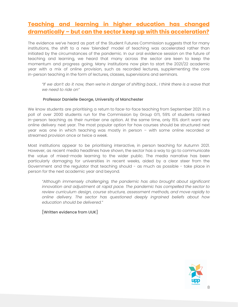### **Teaching and learning in higher education has changed dramatically – but can the sector keep up with this acceleration?**

The evidence we've heard as part of the Student Futures Commission suggests that for many institutions, the shift to a new 'blended' model of teaching was accelerated rather than initiated by the circumstances of the pandemic. In our oral evidence session on the future of teaching and learning, we heard that many across the sector are keen to keep the momentum and progress going. Many institutions now plan to start the 2021/22 academic year with a mix of online provision, such as recorded lectures, supplementing the core in-person teaching in the form of lectures, classes, supervisions and seminars.

"If we don't do it now, then we're in danger of shifting back... I think there is a wave that *we need to ride on"*

### Professor Danielle George, University of Manchester

We know students are prioritising a return to face-to-face teaching from September 2021. In a poll of over 2000 students run for the Commission by Group GTI, 59% of students ranked in-person teaching as their number one option. At the same time, only 15% don't want any online delivery next year. The most popular option for how courses should be structured next year was one in which teaching was mostly in person – with some online recorded or streamed provision once or twice a week.

Most institutions appear to be prioritising interactive, in person teaching for Autumn 2021. However, as recent media headlines have shown, the sector has a way to go to communicate the value of mixed-mode learning to the wider public. The media narrative has been particularly damaging for universities in recent weeks, aided by a clear steer from the Government and the regulator that teaching should - as much as possible - take place in person for the next academic year and beyond.

*"Although immensely challenging, the pandemic has also brought about significant innovation and adjustment at rapid pace. The pandemic has compelled the sector to review curriculum design, course structure, assessment methods, and move rapidly to online delivery. The sector has questioned deeply ingrained beliefs about how education should be delivered."*

[Written evidence from UUK]

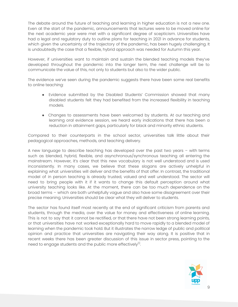The debate around the future of teaching and learning in higher education is not a new one. Even at the start of the pandemic, announcements that lectures were to be moved online for the next academic year were met with a significant degree of scepticism. Universities have had a legal and regulatory duty to outline plans for teaching in 2021 in advance for students, which given the uncertainty of the trajectory of the pandemic, has been hugely challenging. It is undoubtedly the case that a flexible, hybrid approach was needed for Autumn this year.

However, if universities want to maintain and sustain the blended teaching models they've developed throughout the pandemic into the longer term, the next challenge will be to communicate the value of this, not only to students but also to the wider public.

The evidence we've seen during the pandemic suggests there have been some real benefits to online teaching:

- Evidence submitted by the Disabled Students' Commission showed that many disabled students felt they had benefited from the increased flexibility in teaching models.
- Changes to assessments have been welcomed by students. At our teaching and learning oral evidence session, we heard early indications that there has been a reduction in attainment gaps, particularly for black and minority ethnic students.

Compared to their counterparts in the school sector, universities talk little about their pedagogical approaches, methods, and teaching delivery.

A new language to describe teaching has developed over the past two years – with terms such as blended, hybrid, flexible, and asynchronous/synchronous teaching all entering the mainstream. However, it's clear that this new vocabulary is not well understood and is used inconsistently. In many cases, we believe that these slogans are actively unhelpful in explaining what universities will deliver and the benefits of that offer. In contrast, the traditional model of in person teaching is already trusted, valued and well understood. The sector will need to bring people with it if it wants to change this default perception around what university teaching looks like. At the moment, there can be too much dependence on the broad terms – which are both unhelpfully vague and also have some disagreement over their precise meaning. Universities should be clear what they will deliver to students.

The sector has found itself most recently at the end of significant criticism from parents and students, through the media, over the value for money and effectiveness of online learning. This is not to say that it cannot be rectified, or that there have not been strong learning points, or that universities have not worked exceptionally hard to move rapidly to a blended model of learning when the pandemic took hold. But it illustrates the narrow ledge of public and political opinion and practice that universities are navigating their way along. It is positive that in recent weeks there has been greater discussion of this issue in sector press, pointing to the need to engage students and the public more effectively $^{\text{\tiny{[1]}}}$ .

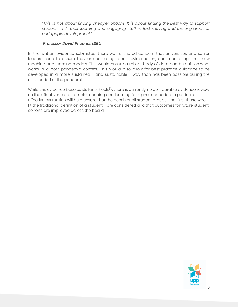*"This is not about finding cheaper options. It is about finding the best way to support students with their learning and engaging staff in fast moving and exciting areas of pedagogic development"*

### *Professor David Phoenix, LSBU*

In the written evidence submitted, there was a shared concern that universities and senior leaders need to ensure they are collecting robust evidence on, and monitoring, their new teaching and learning models. This would ensure a robust body of data can be built on what works in a post pandemic context. This would also allow for best practice guidance to be developed in a more sustained - and sustainable - way than has been possible during the crisis period of the pandemic.

While this evidence base exists for schools $^{[2]}$ , there is currently no comparable evidence review on the effectiveness of remote teaching and learning for higher education. In particular, effective evaluation will help ensure that the needs of all student groups - not just those who fit the traditional definition of a student - are considered and that outcomes for future student cohorts are improved across the board.

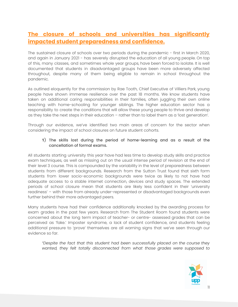### **The closure of schools and universities has significantly impacted student preparedness and confidence.**

The sustained closure of schools over two periods during the pandemic - first in March 2020, and again in January 2021 - has severely disrupted the education of all young people. On top of this, many classes, and sometimes whole year groups, have been forced to isolate. It is well documented that students in disadvantaged groups have been more adversely affected throughout, despite many of them being eligible to remain in school throughout the pandemic.

As outlined eloquently for the commission by Rae Tooth, Chief Executive of Villiers Park, young people have shown immense resilience over the past 18 months. We know students have taken on additional caring responsibilities in their families, often juggling their own online teaching with home-schooling for younger siblings. The higher education sector has a responsibility to create the conditions that will allow these young people to thrive and develop as they take the next steps in their education – rather than to label them as a 'lost generation'.

Through our evidence, we've identified two main areas of concern for the sector when considering the impact of school closures on future student cohorts.

### **1**) The skills lost during the period of home-learning and as a result of the cancellation of formal exams.

All students starting university this year have had less time to develop study skills and practice exam techniques, as well as missing out on the usual intense period of revision at the end of their level 3 course. This is compounded by the variability in the level of preparedness between students from different backgrounds. Research from the Sutton Trust found that sixth form students from lower socio-economic backgrounds were twice as likely to not have had adequate access to a stable internet connection, devices and study spaces. The extended periods of school closure mean that students are likely less confident in their 'university readiness' – with those from already under-represented or disadvantaged backgrounds even further behind their more advantaged peers.

Many students have had their confidence additionally knocked by the awarding process for exam grades in the past few years. Research from The Student Room found students were concerned about the long term impact of teacher- or centre- assessed grades that can be perceived as 'fake.' Imposter syndrome, a lack of student confidence, and students feeling additional pressure to 'prove' themselves are all warning signs that we've seen through our evidence so far.

*"Despite the fact that this student had been successfully placed on the course they wanted, they felt totally disconnected from what those grades were supposed to*

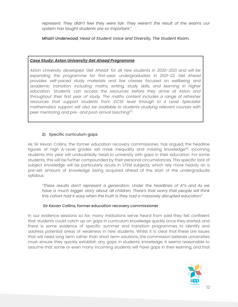*represent. They didn't feel they were fair. They weren't the result of the exams our system has taught students are so important."*

*Mhairi Underwood, Head of Student Voice and Diversity, The Student Room.*

### *Case Study: Aston University Get Ahead Programme*

*Aston University developed 'Get Ahead' for all new students in 2020–2021 and will be expanding the programme for first-year undergraduates in 2021–22. Get Ahead provides self-paced study materials and live classes focused on wellbeing and academic transition including maths, writing, study skills, and learning in higher education. Students can access the resources before they arrive at Aston and throughout their first year of study. The maths content includes a range of refresher resources that support students from GCSE level through to A Level. Specialist mathematics support will also be available to students studying relevant courses with peer mentoring and pre- and post-arrival teaching [3] .*

### **2)** Specific curriculum gaps

As Sir Kevan Collins, the former education recovery commissioner, has argued, the headline figures of high A-Level grades will mask inequality and missing knowledge<sup>[4]</sup>. Incoming students this year will undoubtedly head to university with gaps in their education. For some students, this will be further compounded by their personal circumstances. This specific lack of subject knowledge will be particularly acute in STEM subjects, which rely more heavily on a pre-set amount of knowledge being acquired ahead of the start of the undergraduate syllabus.

*"These results don't represent a generation. Under the headlines of A\*s and As we have a much bigger story about all children. There's that worry that people will think this cohort had it easy when the truth is they had a massively disrupted education"*

### Sir Kevan Collins, former education recovery commissioner

In our evidence sessions so far, many institutions we've heard from said they felt confident that students could catch up on gaps in curriculum knowledge quickly once they started, and there is some evidence of specific summer and transition programmes to identify and address potential areas of weakness in new students. Whilst it is clear that these are issues that will need long term rather than short term solutions, the commission believes universities must ensure they quickly establish any gaps in students' knowledge. It seems reasonable to assume that some or even many incoming students will have gaps in their learning, and that

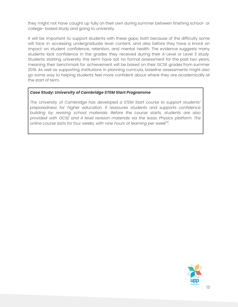they might not have caught up fully on their own during summer between finishing school- or college- based study and going to university.

It will be important to support students with these gaps; both because of the difficulty some will face in accessing undergraduate level content, and also before they have a knock on impact on student confidence, retention, and mental health. The evidence suggests many students lack confidence in the grades they received during their A-Level or Level 3 study. Students starting university this term have sat no formal assessment for the past two years, meaning their benchmark for achievement will be based on their GCSE grades from summer 2019. As well as supporting institutions in planning curricula, baseline assessments might also go some way to helping students feel more confident about where they are academically at the start of term.

### *Case Study: University of Cambridge STEM Start Programme*

*The University of Cambridge has developed a STEM Start course to support students' preparedness for higher education. It reassures students and supports confidence building by revising school materials. Before the course starts, students are also provided with GCSE and A level revision materials via the Isaac Physics platform. The online course lasts for four weeks, with nine hours of learning per week [5] .*

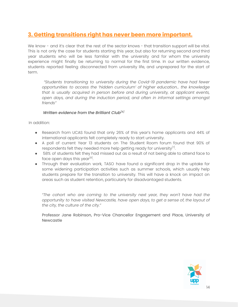### **3. Getting transitions right has never been more important.**

We know - and it's clear that the rest of the sector knows - that transition support will be vital. This is not only the case for students starting this year, but also for returning second and third year students who will be less familiar with the university and for whom the university experience might finally be returning to normal for the first time. In our written evidence, students reported feeling disconnected from university life, and unprepared for the start of term.

*"Students transitioning to university during the Covid-19 pandemic have had fewer opportunities to access the 'hidden curriculum' of higher education... the knowledge that is usually acquired in person before and during university, at applicant events, open days, and during the induction period, and often in informal settings amongst friends"*

### *Written evidence from the Brilliant Club [6]*

In addition:

- Research from UCAS found that only 26% of this year's home applicants and 44% of international applicants felt completely ready to start university.
- A poll of current Year 13 students on The Student Room forum found that 90% of respondents felt they needed more help getting ready for university ${}^{[7]}$ .
- 58% of students felt they had missed out as a result of not being able to attend face to face open days this year<sup>[8]</sup>.
- Through their evaluation work, TASO have found a significant drop in the uptake for some widening participation activities such as summer schools, which usually help students prepare for the transition to university. This will have a knock on impact on areas such as student retention, particularly for disadvantaged students.

*"The cohort who are coming to the university next year, they won't have had the opportunity to have visited Newcastle, have open days, to get a sense of, the layout of the city, the culture of the city."*

Professor Jane Robinson, Pro-Vice Chancellor Engagement and Place, University of Newcastle

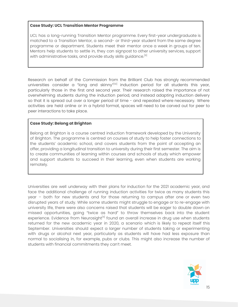### **Case Study: UCL Transition Mentor Programme**

UCL has a long-running Transition Mentor programme. Every first-year undergraduate is matched to a Transition Mentor, a second- or third-year student from the same degree programme or department. Students meet their mentor once a week in groups of ten. Mentors help students to settle in, they can signpost to other university services, support with administrative tasks, and provide study skills guidance.<sup>[9]</sup>

Research on behalf of the Commission from the Brilliant Club has strongly recommended universities consider a "long and skinny"<sup>(10)</sup> induction period for all students this year, particularly those in the first and second year. Their research raised the importance of not overwhelming students during the induction period, and instead adapting induction delivery so that it is spread out over a longer period of time - and repeated where necessary. Where activities are held online or in a hybrid format, spaces will need to be carved out for peer to peer interactions to take place.

### **Case Study: Belong at Brighton**

Belong at Brighton is a course centred induction framework developed by the University of Brighton. The programme is centred on courses of study to help foster connections to the students' academic school, and covers students from the point of accepting an offer, providing a longitudinal transition to university during their first semester. The aim is to create communities of learning within courses and schools of study which empower and support students to succeed in their learning, even when students are working remotely.

Universities are well underway with their plans for induction for the 2021 academic year, and face the additional challenge of running induction activities for twice as many students this year – both for new students and for those returning to campus after one or even two disrupted years of study. While some students might struggle to engage or to re-engage with university life, there were also concerns raised that students will be eager to double down on missed opportunities, going "twice as hard" to throw themselves back into the student experience. Evidence from Neurosight<sup>I11</sup> found an overall increase in drug use when students returned for the new academic year in 2020, a scenario which is likely to repeat itself this September. Universities should expect a larger number of students taking or experimenting with drugs or alcohol next year, particularly as students will have had less exposure than normal to socialising in, for example, pubs or clubs. This might also increase the number of students with financial commitments they can't meet.

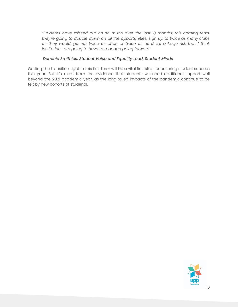*"Students have missed out on so much over the last 18 months; this coming term, they're going to double down on all the opportunities, sign up to twice as many clubs as they would, go out twice as often or twice as hard. It's a huge risk that I think institutions are going to have to manage going forward"*

### *Dominic Smithies, Student Voice and Equality Lead, Student Minds*

Getting the transition right in this first term will be a vital first step for ensuring student success this year. But it's clear from the evidence that students will need additional support well beyond the 2021 academic year, as the long tailed impacts of the pandemic continue to be felt by new cohorts of students.

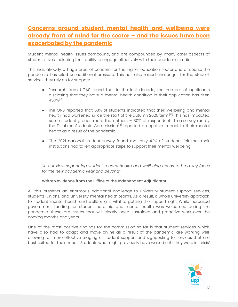### **Concerns around student mental health and wellbeing were already front of mind for the sector – and the issues have been exacerbated by the pandemic**

Student mental health issues compound, and are compounded by, many other aspects of students' lives, including their ability to engage effectively with their academic studies.

This was already a huge area of concern for the higher education sector and of course the pandemic has piled on additional pressure. This has also raised challenges for the student services they rely on for support:

- Research from UCAS found that in the last decade, the number of applicants disclosing that they have a mental health condition in their application has risen 450%<sup>[12]</sup>.
- The ONS reported that 63% of students indicated that their wellbeing and mental health had worsened since the start of the autumn 2020 term.<sup>[13]</sup> This has impacted some student groups more than others – 80% of respondents to a survey run by the Disabled Students Commission<sup>|14]</sup> reported a negative impact to their mental health as a result of the pandemic.
- The 2021 national student survey found that only 42% of students felt that their institutions had taken appropriate steps to support their mental wellbeing.

*"In our view supporting student mental health and wellbeing needs to be a key focus for the new academic year and beyond"*

### Written evidence from the Office of the Independent Adjudicator

All this presents an enormous additional challenge to university student support services, students' unions, and university mental health teams. As a result, a whole university approach to student mental health and wellbeing is vital to getting the support right. While increased government funding for student hardship and mental health was welcomed during the pandemic, these are issues that will clearly need sustained and proactive work over the coming months and years.

One of the most positive findings for the commission so far is that student services, which have also had to adapt and move online as a result of the pandemic, are working well, allowing for more effective triaging of student support and signposting to services that are best suited for their needs. Students who might previously have waited until they were in 'crisis'

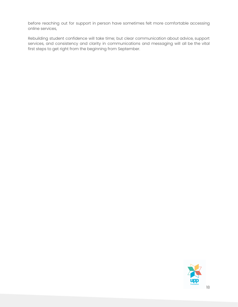before reaching out for support in person have sometimes felt more comfortable accessing online services,

Rebuilding student confidence will take time; but clear communication about advice, support services, and consistency and clarity in communications and messaging will all be the vital first steps to get right from the beginning from September.

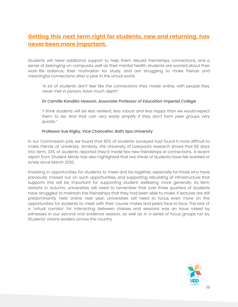### **Getting this next term right for students, new and returning, has never been more important.**

Students will need additional support to help them rebuild friendships, connections, and a sense of belonging on campusAs well as their mental health, students are worried about their work-life balance, their motivation for study, and are struggling to make friends and meaningful connections after a year in the virtual world.

*"A lot of students don't feel like the connections they made online, with people they never met in person, have much depth"*

### *Dr Camille Kandiko Howson, Associate Professor of Education Imperial College*

*"I think students will be less resilient, less robust and less happy than we would expect them to be. And that can very easily amplify if they don't form peer groups very quickly."*

### Professor Sue Rigby, Vice Chancellor, Bath Spa University

In our Commission poll, we found that 85% of students surveyed had found it more difficult to make friends at university. Similarly, the University of Liverpool's research shows that 60 days into term, 33% of students reported they'd made few new friendships or connections. A recent report from Student Minds has also highlighted that two thirds of students have felt isolated or lonely since March 2020.

Investing in opportunities for students to meet and be together, especially for those who have previously missed out on such opportunities, and supporting rebuilding of infrastructure that supports this will be important for supporting student wellbeing more generally. As term restarts in autumn, universities will need to remember that over three quarters of students have struggled to maintain the friendships that they had been able to make. If lectures are still predominantly held online next year, universities will need to focus even more on the opportunities for students to meet with their course mates and peers face to face. The lack of a 'virtual corridor' for interacting between classes and sessions was an issue raised by witnesses in our second oral evidence session, as well as in a series of focus groups run by Students' Unions leaders across the country.

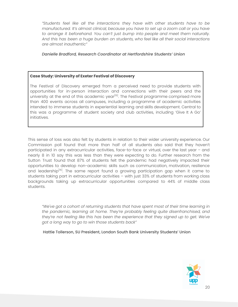*"Students feel like all the interactions they have with other students have to be manufactured. It's almost clinical, because you have to set up a zoom call or you have to arrange it beforehand. You can't just bump into people and meet them naturally. And this has been a huge burden on students, who feel like all their social interactions are almost inauthentic"*

### *Danielle Bradford, Research Coordinator at Hertfordshire Students' Union*

### **Case Study: University of Exeter Festival of Discovery**

The Festival of Discovery emerged from a perceived need to provide students with opportunities for in-person interaction and connections with their peers and the university at the end of this academic year<sup>l15]</sup>. The Festival programme comprised more than 400 events across all campuses, including a programme of academic activities intended to immerse students in experiential learning and skills development. Central to this was a programme of student society and club activities, including 'Give It A Go' initiatives.

This sense of loss was also felt by students in relation to their wider university experience. Our Commission poll found that more than half of all students also said that they haven't participated in any extracurricular activities, face-to-face or virtual, over the last year – and nearly 8 in 10 say this was less than they were expecting to do. Further research from the Sutton Trust found that 87% of students felt the pandemic had negatively impacted their opportunities to develop non-academic skills such as communication, motivation, resilience and leadership<sup>[16]</sup>. The same report found a growing participation gap when it came to students taking part in extracurricular activities – with just 33% of students from working class backgrounds taking up extracurricular opportunities compared to 44% of middle class students.

*"We've got a cohort of returning students that have spent most of their time learning in the pandemic, learning at home. They're probably feeling quite disenfranchised, and they're not feeling like this has been the experience that they signed up to get. We've got a long way to go to win those students back"*

Hattie Tollerson, SU President, London South Bank University Students' Union

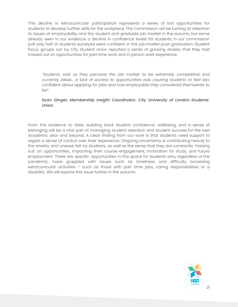This decline in extracurricular participation represents a series of lost opportunities for students to develop further skills for the workplace. The Commission will be turning its attention to issues of employability and the student and graduate job market in the autumn, but we've already seen in our evidence a decline in confidence levels for students. In our commission poll only half of students surveyed were confident in the job market post-graduation. Student focus groups run by City Student Union reported a sense of growing anxiety that they had missed out on opportunities for part time work and in person work experience.

*"Students told us they perceive the job market to be extremely competitive and currently bleak… a lack of access to opportunities was causing students to feel less confident about applying for jobs and how employable they considered themselves to be"*

### *Ryan Ginger, Membership Insight Coordinator, City University of London Students' Union.*

From the evidence to date, building back student confidence, wellbeing, and a sense of belonging will be a vital part of managing student retention and student success for the next academic year and beyond. A clear finding from our work is that students need support to regain a sense of control over their experience. Ongoing uncertainty is contributing heavily to the anxiety and unease felt by students, as well as the sense that they are constantly 'missing out' on opportunities, impacting their course engagement, motivation for study, and future employment. There are specific opportunities in this space for students who, regardless of the pandemic, have grappled with issues such as loneliness and difficulty accessing extracurricular activities – such as those with part time jobs, caring responsibilities or a disability. We will explore this issue further in the autumn.

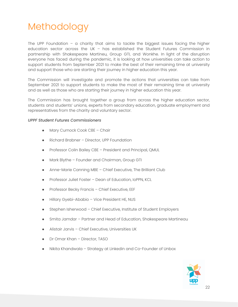## Methodology

The UPP Foundation – a charity that aims to tackle the biggest issues facing the higher education sector across the UK – has established the Student Futures Commission in partnership with Shakespeare Martineu, Group GTI, and Wonkhe. In light of the disruption everyone has faced during the pandemic, it is looking at how universities can take action to support students from September 2021 to make the best of their remaining time at university and support those who are starting their journey in higher education this year.

The Commission will investigate and promote the actions that universities can take from September 2021 to support students to make the most of their remaining time at university and as well as those who are starting their journey in higher education this year.

The Commission has brought together a group from across the higher education sector, students and students' unions, experts from secondary education, graduate employment and representatives from the charity and voluntary sector.

### *UPPF Student Futures Commissioners*

- Mary Curnock Cook CBE Chair
- Richard Brabner Director, UPP Foundation
- Professor Colin Bailey CBE President and Principal, QMUL
- Mark Blythe Founder and Chairman, Group GTI
- Anne-Marie Canning MBE Chief Executive, The Brilliant Club
- Professor Juliet Foster Dean of Education, IoPPN, KCL
- Professor Becky Francis Chief Executive, EEF
- Hillary Gyebi-Ababio Vice President HE, NUS
- Stephen Isherwood Chief Executive, Institute of Student Employers
- Smita Jamdar Partner and Head of Education, Shakespeare Martineau
- Alistair Jarvis Chief Executive, Universities UK
- Dr Omar Khan Director, TASO
- Nikita Khandwala Strategy at Linkedin and Co-Founder of Unbox

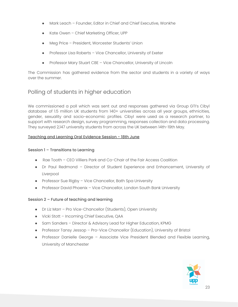- Mark Leach Founder, Editor in Chief and Chief Executive, Wonkhe
- Kate Owen Chief Marketing Officer, UPP
- Meg Price President, Worcester Students' Union
- Professor Lisa Roberts Vice Chancellor, University of Exeter
- Professor Mary Stuart CBE Vice Chancellor, University of Lincoln

The Commission has gathered evidence from the sector and students in a variety of ways over the summer.

### Polling of students in higher education

We commissioned a poll which was sent out and responses gathered via Group GTI's Cibyl database of 1.5 million UK students from 140+ universities across all year groups, ethnicities, gender, sexuality and socio-economic profiles. Cibyl were used as a research partner, to support with research design, survey programming, responses collection and data processing. They surveyed 2,147 university students from across the UK between 14th-19th May.

### Teaching and Learning Oral Evidence Session - 18th June

### Session 1 – Transitions to Learning

- Rae Tooth CEO Villiers Park and Co-Chair of the Fair Access Coalition
- Dr Paul Redmond Director of Student Experience and Enhancement, University of Liverpool
- Professor Sue Rigby Vice Chancellor, Bath Spa University
- Professor David Phoenix Vice Chancellor, London South Bank University

### Session 2 – Future of teaching and learning

- Dr Liz Marr Pro Vice-Chancellor (Students), Open University
- Vicki Stott Incoming Chief Executive, QAA
- Sam Sanders Director & Advisory Lead for Higher Education, KPMG
- Professor Tansy Jessop Pro-Vice Chancellor (Education), University of Bristol
- Professor Danielle George Associate Vice President Blended and Flexible Learning, University of Manchester

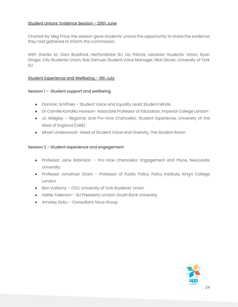### Student Unions' Evidence Session - 29th June

Chaired by Meg Price, the session gave students' unions the opportunity to share the evidence they had gathered to inform the commission.

With thanks to: Dani Bradford, Hertfordshire SU; Lily Patrick, Leicester Students' Union; Ryan Ginger, City Students' Union; Rob Samuel, Student Voice Manager; Nick Glover, University of York SU.

### Student Experience and Wellbeing - 9th July

### Session 1 - Student support and wellbeing

- Dominic Smithies Student Voice and Equality Lead, Student Minds
- Dr Camille Kandiko Howson- Associate Professor of Education, Imperial College London
- Jo Midgley Registrar and Pro-Vice Chancellor, Student Experience, University of the West of England (UWE)
- Mhairi Underwood- Head of Student Voice and Diversity, The Student Room

### Session 2 - Student experience and engagement

- Professor Jane Robinson Pro-Vice Chancellor, Engagement and Place, Newcastle University
- Professor Jonathan Grant Professor of Public Policy, Policy Institute, King's College London
- Ben Vulliamy CEO, University of York Students' Union
- Hattie Tollerson SU President, London South Bank University
- Amatey Doku Consultant, Nous Group

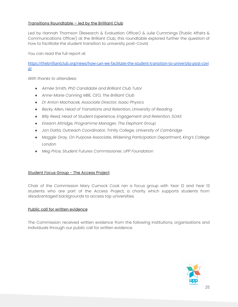### Transitions Roundtable – led by the Brilliant Club

Led by Hannah Thomson (Research & Evaluation Officer) & Julie Cummings (Public Affairs & Communications Officer) at the Brilliant Club, this roundtable explored further the question of how to facilitate the student transition to university post-Covid.

You can read the full report at

[https://thebrilliantclub.org/news/how-can-we-facilitate-the-student-transition-to-university-post-covi](https://thebrilliantclub.org/news/how-can-we-facilitate-the-student-transition-to-university-post-covid/) [d/](https://thebrilliantclub.org/news/how-can-we-facilitate-the-student-transition-to-university-post-covid/)

*With thanks to attendees:*

- *● Aimée Smith, PhD Candidate and Brilliant Club Tutor*
- *● Anne-Marie Canning MBE, CEO, The Brilliant Club*
- *● Dr Anton Machacek, Associate Director, Isaac Physics*
- *● Becky Allen, Head of Transitions and Retention, University of Reading*
- *● Billy Reed, Head of Student Experience, Engagement and Retention, SOAS*
- *● Eireann Attridge, Programme Manager, The Elephant Group*
- *● Jon Datta, Outreach Coordinator, Trinity College, University of Cambridge*
- *● Maggie Gray, On Purpose Associate, Widening Participation Department, King's College London*
- *● Meg Price, Student Futures Commissioner, UPP Foundation*

### Student Focus Group - The Access Project

Chair of the Commission Mary Curnock Cook ran a focus group with Year 12 and Year 13 students who are part of the Access Project, a charity which supports students from disadvantaged backgrounds to access top universities.

### Public call for written evidence

The Commission received written evidence from the following institutions, organisations and individuals through our public call for written evidence.

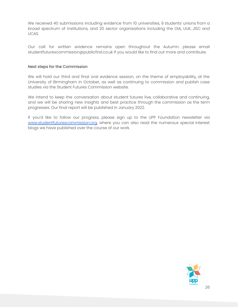We received 40 submissions including evidence from 10 universities, 9 students' unions from a broad spectrum of institutions, and 20 sector organisations including the OIA, UUK, JISC and UCAS.

Our call for written evidence remains open throughout the Autumn: please email studentfuturescommission@publicfirst.co.uk if you would like to find out more and contribute.

#### Next steps for the Commission

We will hold our third and final oral evidence session, on the theme of employability, at the University of Birmingham in October, as well as continuing to commission and publish case studies via the Student Futures Commission website.

We intend to keep the conversation about student futures live, collaborative and continuing, and we will be sharing new insights and best practice through the commission as the term progresses. Our final report will be published in January 2022.

If you'd like to follow our progress, please sign up to the UPP Foundation newsletter via [www.studentfuturescommission.org,](http://www.studentfuturescommission.org/) where you can also read the numerous special interest blogs we have published over the course of our work.

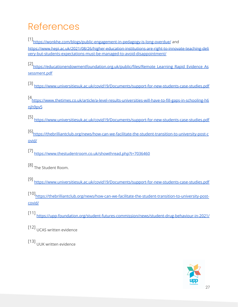## References

[1] [https://wonkhe.com/blogs/public-engagement-in-pedagogy-is-long-overdue/](https://wonkhe.com/blogs/public-engagement-in-pedagogy-is-long-overdue/?utm_content=buffere9856&utm_medium=social&utm_source=twitter.com&utm_campaign=buffer) and [https://www.hepi.ac.uk/2021/08/26/higher-education-institutions-are-right-to-innovate-teaching-deli](https://www.hepi.ac.uk/2021/08/26/higher-education-institutions-are-right-to-innovate-teaching-delivery-but-students-expectations-must-be-managed-to-avoid-disappointment/) [very-but-students-expectations-must-be-managed-to-avoid-disappointment/](https://www.hepi.ac.uk/2021/08/26/higher-education-institutions-are-right-to-innovate-teaching-delivery-but-students-expectations-must-be-managed-to-avoid-disappointment/)

[2]<br>[https://educationendowmentfoundation.org.uk/public/files/Remote\\_Learning\\_Rapid\\_Evidence\\_As](https://educationendowmentfoundation.org.uk/public/files/Remote_Learning_Rapid_Evidence_Assessment.pdf)\_ [sessment.pdf](https://educationendowmentfoundation.org.uk/public/files/Remote_Learning_Rapid_Evidence_Assessment.pdf)

[3] <https://www.universitiesuk.ac.uk/covid19/Documents/support-for-new-students-case-studies.pdf>

[4 [https://www.thetimes.co.uk/article/a-level-results-universities-will-have-to-fill-gaps-in-schooling-h6](https://www.thetimes.co.uk/article/a-level-results-universities-will-have-to-fill-gaps-in-schooling-h6njh9pv5) nih9pv5

[5] <https://www.universitiesuk.ac.uk/covid19/Documents/support-for-new-students-case-studies.pdf>

[6] [https://thebrilliantclub.org/news/how-can-we-facilitate-the-student-transition-to-university-post-c](https://thebrilliantclub.org/news/how-can-we-facilitate-the-student-transition-to-university-post-covid/) [ovid/](https://thebrilliantclub.org/news/how-can-we-facilitate-the-student-transition-to-university-post-covid/)

- [7] <https://www.thestudentroom.co.uk/showthread.php?t=7036460>
- [8]<br>The Student Room.
- [9] <https://www.universitiesuk.ac.uk/covid19/Documents/support-for-new-students-case-studies.pdf>

[10] [https://thebrilliantclub.org/news/how-can-we-facilitate-the-student-transition-to-university-post](https://thebrilliantclub.org/news/how-can-we-facilitate-the-student-transition-to-university-post-covid/)[covid/](https://thebrilliantclub.org/news/how-can-we-facilitate-the-student-transition-to-university-post-covid/)

- [11] <https://upp-foundation.org/student-futures-commission/news/student-drug-behaviour-in-2021/>
- [12] UCAS written evidence
- [13] UUK written evidence